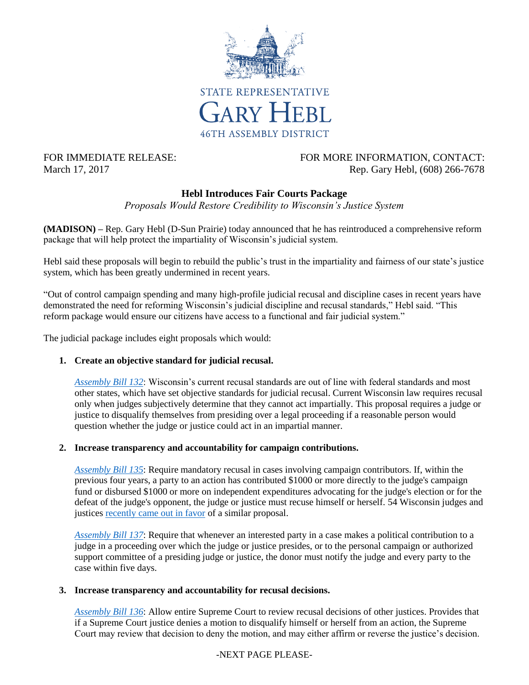

# FOR IMMEDIATE RELEASE: FOR MORE INFORMATION, CONTACT: March 17, 2017 Rep. Gary Hebl, (608) 266-7678

## **Hebl Introduces Fair Courts Package**

*Proposals Would Restore Credibility to Wisconsin's Justice System*

**(MADISON) –** Rep. Gary Hebl (D-Sun Prairie) today announced that he has reintroduced a comprehensive reform package that will help protect the impartiality of Wisconsin's judicial system.

Hebl said these proposals will begin to rebuild the public's trust in the impartiality and fairness of our state's justice system, which has been greatly undermined in recent years.

"Out of control campaign spending and many high-profile judicial recusal and discipline cases in recent years have demonstrated the need for reforming Wisconsin's judicial discipline and recusal standards," Hebl said. "This reform package would ensure our citizens have access to a functional and fair judicial system."

The judicial package includes eight proposals which would:

### **1. Create an objective standard for judicial recusal.**

*[Assembly Bill 132](http://docs.legis.wisconsin.gov/2017/proposals/ab132)*: Wisconsin's current recusal standards are out of line with federal standards and most other states, which have set objective standards for judicial recusal. Current Wisconsin law requires recusal only when judges subjectively determine that they cannot act impartially. This proposal requires a judge or justice to disqualify themselves from presiding over a legal proceeding if a reasonable person would question whether the judge or justice could act in an impartial manner.

### **2. Increase transparency and accountability for campaign contributions.**

*[Assembly Bill 135](http://docs.legis.wisconsin.gov/2017/proposals/ab135)*: Require mandatory recusal in cases involving campaign contributors. If, within the previous four years, a party to an action has contributed \$1000 or more directly to the judge's campaign fund or disbursed \$1000 or more on independent expenditures advocating for the judge's election or for the defeat of the judge's opponent, the judge or justice must recuse himself or herself. 54 Wisconsin judges and justices [recently came out in favor](http://www.jsonline.com/story/news/politics/elections/2017/01/11/former-judges-seek-rules-donations/96430238/) of a similar proposal.

*[Assembly Bill 137](http://docs.legis.wisconsin.gov/2017/proposals/ab137)*: Require that whenever an interested party in a case makes a political contribution to a judge in a proceeding over which the judge or justice presides, or to the personal campaign or authorized support committee of a presiding judge or justice, the donor must notify the judge and every party to the case within five days.

#### **3. Increase transparency and accountability for recusal decisions.**

*[Assembly Bill 136](http://docs.legis.wisconsin.gov/2017/proposals/ab136)*: Allow entire Supreme Court to review recusal decisions of other justices. Provides that if a Supreme Court justice denies a motion to disqualify himself or herself from an action, the Supreme Court may review that decision to deny the motion, and may either affirm or reverse the justice's decision.

### -NEXT PAGE PLEASE-